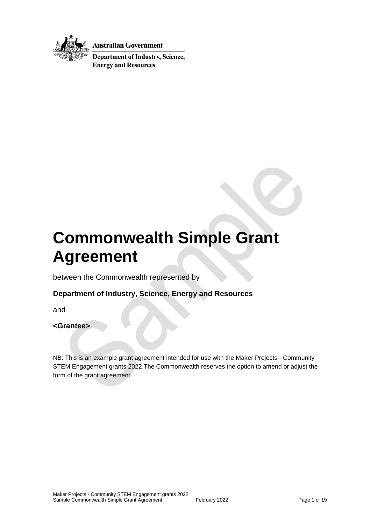

**Australian Government** 

**Department of Industry, Science, Energy and Resources** 

# **Commonwealth Simple Grant Agreement**

between the Commonwealth represented by

### **Department of Industry, Science, Energy and Resources**

and

#### **<Grantee>**

NB: This is an example grant agreement intended for use with the Maker Projects - Community STEM Engagement grants 2022.The Commonwealth reserves the option to amend or adjust the form of the grant agreement.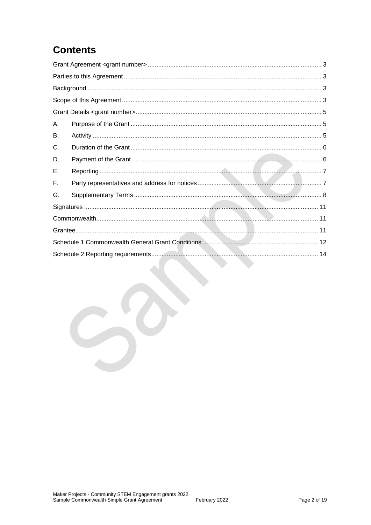# **Contents**

| А. |  |  |  |
|----|--|--|--|
| В. |  |  |  |
| C. |  |  |  |
| D. |  |  |  |
| Е. |  |  |  |
| F. |  |  |  |
| G. |  |  |  |
|    |  |  |  |
|    |  |  |  |
|    |  |  |  |
|    |  |  |  |
|    |  |  |  |
|    |  |  |  |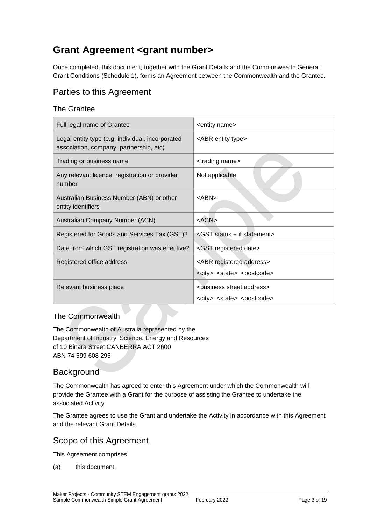# <span id="page-2-0"></span>**Grant Agreement <grant number>**

Once completed, this document, together with the Grant Details and the Commonwealth General Grant Conditions (Schedule 1), forms an Agreement between the Commonwealth and the Grantee.

### <span id="page-2-1"></span>Parties to this Agreement

### The Grantee

| Full legal name of Grantee                                                                  | <entity name=""></entity>                                                                          |
|---------------------------------------------------------------------------------------------|----------------------------------------------------------------------------------------------------|
| Legal entity type (e.g. individual, incorporated<br>association, company, partnership, etc) | <abr entity="" type=""></abr>                                                                      |
| Trading or business name                                                                    | <trading name=""></trading>                                                                        |
| Any relevant licence, registration or provider<br>number                                    | Not applicable                                                                                     |
| Australian Business Number (ABN) or other<br>entity identifiers                             | <abn></abn>                                                                                        |
| Australian Company Number (ACN)                                                             | $<$ ACN $>$                                                                                        |
| Registered for Goods and Services Tax (GST)?                                                | <gst +="" if="" statement="" status=""></gst>                                                      |
| Date from which GST registration was effective?                                             | <gst date="" registered=""></gst>                                                                  |
| Registered office address                                                                   | <abr address="" registered=""></abr>                                                               |
|                                                                                             | <city> <state> <postcode></postcode></state></city>                                                |
| Relevant business place                                                                     | <business address="" street=""><br/><city> <state> <postcode></postcode></state></city></business> |

#### The Commonwealth

The Commonwealth of Australia represented by the Department of Industry, Science, Energy and Resources of 10 Binara Street CANBERRA ACT 2600 ABN 74 599 608 295

### <span id="page-2-2"></span>**Background**

The Commonwealth has agreed to enter this Agreement under which the Commonwealth will provide the Grantee with a Grant for the purpose of assisting the Grantee to undertake the associated Activity.

The Grantee agrees to use the Grant and undertake the Activity in accordance with this Agreement and the relevant Grant Details.

### <span id="page-2-3"></span>Scope of this Agreement

This Agreement comprises:

(a) this document;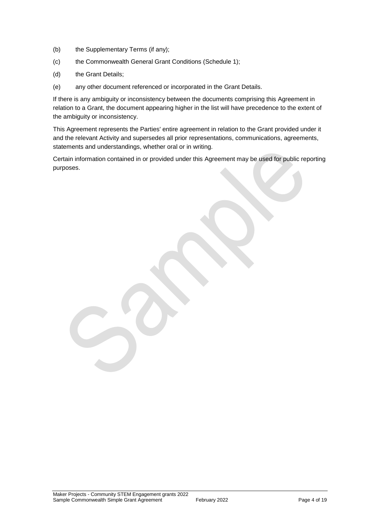- (b) the Supplementary Terms (if any);
- (c) the Commonwealth General Grant Conditions (Schedule 1);
- (d) the Grant Details;
- (e) any other document referenced or incorporated in the Grant Details.

If there is any ambiguity or inconsistency between the documents comprising this Agreement in relation to a Grant, the document appearing higher in the list will have precedence to the extent of the ambiguity or inconsistency.

This Agreement represents the Parties' entire agreement in relation to the Grant provided under it and the relevant Activity and supersedes all prior representations, communications, agreements, statements and understandings, whether oral or in writing.

Certain information contained in or provided under this Agreement may be used for public reporting purposes.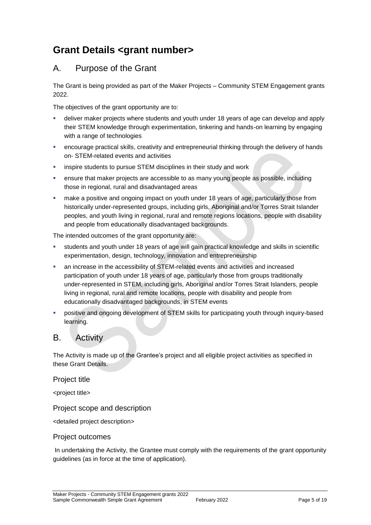# <span id="page-4-0"></span>**Grant Details <grant number>**

### <span id="page-4-1"></span>A. Purpose of the Grant

The Grant is being provided as part of the Maker Projects – Community STEM Engagement grants 2022.

The objectives of the grant opportunity are to:

- deliver maker projects where students and youth under 18 years of age can develop and apply their STEM knowledge through experimentation, tinkering and hands-on learning by engaging with a range of technologies
- encourage practical skills, creativity and entrepreneurial thinking through the delivery of hands on- STEM-related events and activities
- **EXEDENT ISS IN STEM STEM** disciplines in their study and work
- ensure that maker projects are accessible to as many young people as possible, including those in regional, rural and disadvantaged areas
- make a positive and ongoing impact on youth under 18 years of age, particularly those from historically under-represented groups, including girls, Aboriginal and/or Torres Strait Islander peoples, and youth living in regional, rural and remote regions locations, people with disability and people from educationally disadvantaged backgrounds.

The intended outcomes of the grant opportunity are:

- students and youth under 18 years of age will gain practical knowledge and skills in scientific experimentation, design, technology, innovation and entrepreneurship
- an increase in the accessibility of STEM-related events and activities and increased participation of youth under 18 years of age, particularly those from groups traditionally under-represented in STEM, including girls, Aboriginal and/or Torres Strait Islanders, people living in regional, rural and remote locations, people with disability and people from educationally disadvantaged backgrounds, in STEM events
- positive and ongoing development of STEM skills for participating youth through inquiry-based learning.

### <span id="page-4-2"></span>B. Activity

The Activity is made up of the Grantee's project and all eligible project activities as specified in these Grant Details.

#### Project title

<project title>

#### Project scope and description

<detailed project description>

#### Project outcomes

In undertaking the Activity, the Grantee must comply with the requirements of the grant opportunity guidelines (as in force at the time of application).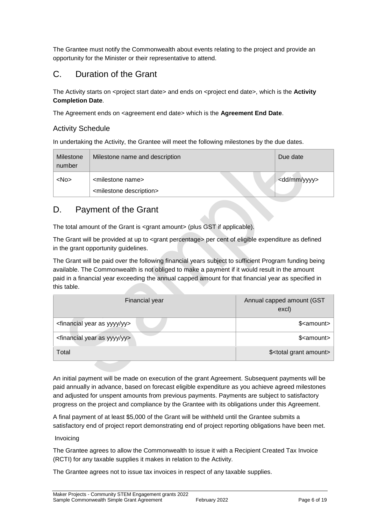The Grantee must notify the Commonwealth about events relating to the project and provide an opportunity for the Minister or their representative to attend.

### <span id="page-5-0"></span>C. Duration of the Grant

The Activity starts on <project start date> and ends on <project end date>, which is the **Activity Completion Date**.

The Agreement ends on <agreement end date> which is the **Agreement End Date.** 

#### Activity Schedule

In undertaking the Activity, the Grantee will meet the following milestones by the due dates.

| Milestone<br>number | Milestone name and description                                             | Due date                |
|---------------------|----------------------------------------------------------------------------|-------------------------|
| $<$ No $>$          | <milestone name=""><br/><milestone description=""></milestone></milestone> | <dd mm="" yyyy=""></dd> |

### <span id="page-5-1"></span>D. Payment of the Grant

The total amount of the Grant is <grant amount> (plus GST if applicable).

The Grant will be provided at up to <grant percentage> per cent of eligible expenditure as defined in the grant opportunity guidelines.

The Grant will be paid over the following financial years subject to sufficient Program funding being available. The Commonwealth is not obliged to make a payment if it would result in the amount paid in a financial year exceeding the annual capped amount for that financial year as specified in this table.

| Financial year                                      | Annual capped amount (GST<br>excl)    |
|-----------------------------------------------------|---------------------------------------|
| <financial as="" year="" yy="" yyyy=""></financial> | \$ <amount></amount>                  |
| <financial as="" year="" yy="" yyyy=""></financial> | \$ <amount></amount>                  |
| Total                                               | \$ <total amount="" grant=""></total> |

An initial payment will be made on execution of the grant Agreement. Subsequent payments will be paid annually in advance, based on forecast eligible expenditure as you achieve agreed milestones and adjusted for unspent amounts from previous payments. Payments are subject to satisfactory progress on the project and compliance by the Grantee with its obligations under this Agreement.

A final payment of at least \$5,000 of the Grant will be withheld until the Grantee submits a satisfactory end of project report demonstrating end of project reporting obligations have been met.

Invoicing

The Grantee agrees to allow the Commonwealth to issue it with a Recipient Created Tax Invoice (RCTI) for any taxable supplies it makes in relation to the Activity.

The Grantee agrees not to issue tax invoices in respect of any taxable supplies.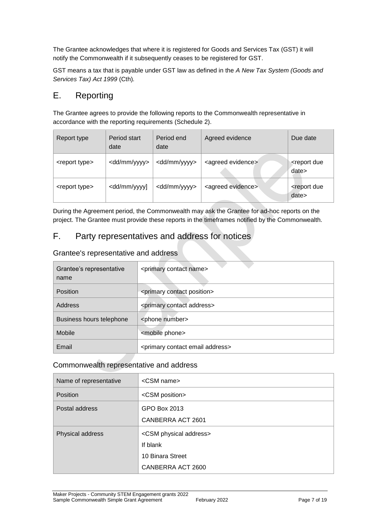The Grantee acknowledges that where it is registered for Goods and Services Tax (GST) it will notify the Commonwealth if it subsequently ceases to be registered for GST.

GST means a tax that is payable under GST law as defined in the *A New Tax System (Goods and Services Tax) Act 1999* (Cth)*.* 

### <span id="page-6-0"></span>E. Reporting

The Grantee agrees to provide the following reports to the Commonwealth representative in accordance with the reporting requirements (Schedule 2).

| Report type               | Period start<br>date                                                                                                                              | Period end<br>date      | Agreed evidence               | Due date                            |
|---------------------------|---------------------------------------------------------------------------------------------------------------------------------------------------|-------------------------|-------------------------------|-------------------------------------|
| <report type=""></report> | <dd mm="" yyyy=""></dd>                                                                                                                           | <dd mm="" yyyy=""></dd> | <agreed evidence=""></agreed> | <report due<br="">date&gt;</report> |
| <report type=""></report> | <dd mm="" td="" yyyy]<=""><td><dd mm="" yyyy=""></dd></td><td><agreed evidence=""></agreed></td><td><report due<br="">date&gt;</report></td></dd> | <dd mm="" yyyy=""></dd> | <agreed evidence=""></agreed> | <report due<br="">date&gt;</report> |

During the Agreement period, the Commonwealth may ask the Grantee for ad-hoc reports on the project. The Grantee must provide these reports in the timeframes notified by the Commonwealth.

### <span id="page-6-1"></span>F. Party representatives and address for notices

Grantee's representative and address

| Grantee's representative<br>name | <primary contact="" name=""></primary>             |
|----------------------------------|----------------------------------------------------|
| Position                         | <primary contact="" position=""></primary>         |
| Address                          | <primary address="" contact=""></primary>          |
| Business hours telephone         | <phone number=""></phone>                          |
| Mobile                           | <mobile phone=""></mobile>                         |
| Email                            | <primary address="" contact="" email=""></primary> |

#### Commonwealth representative and address

| Name of representative | <csm name=""></csm>                |  |  |
|------------------------|------------------------------------|--|--|
| Position               | <csm position=""></csm>            |  |  |
| Postal address         | GPO Box 2013                       |  |  |
|                        | CANBERRA ACT 2601                  |  |  |
| Physical address       | <csm address="" physical=""></csm> |  |  |
|                        | If blank                           |  |  |
|                        | 10 Binara Street                   |  |  |
|                        | CANBERRA ACT 2600                  |  |  |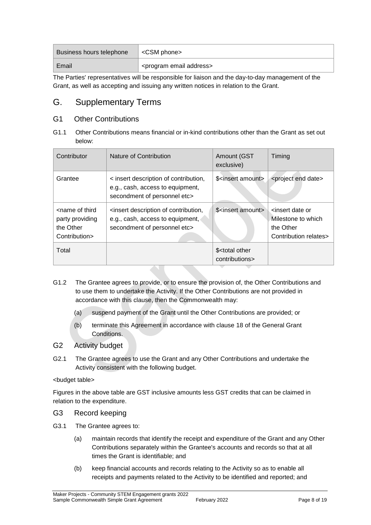| Business hours telephone | <csm phone=""></csm>                                 |
|--------------------------|------------------------------------------------------|
| Email                    | <sup>®</sup> <program address="" email=""></program> |

The Parties' representatives will be responsible for liaison and the day-to-day management of the Grant, as well as accepting and issuing any written notices in relation to the Grant.

### <span id="page-7-0"></span>G. Supplementary Terms

### G1 Other Contributions

G1.1 Other Contributions means financial or in-kind contributions other than the Grant as set out below:

| Contributor                                                                       | Nature of Contribution                                                                                    | Amount (GST<br>exclusive)                       | Timing                                                                                          |
|-----------------------------------------------------------------------------------|-----------------------------------------------------------------------------------------------------------|-------------------------------------------------|-------------------------------------------------------------------------------------------------|
| Grantee                                                                           | < insert description of contribution,<br>e.g., cash, access to equipment,<br>secondment of personnel etc> | \$ <insert amount=""></insert>                  | <project date="" end=""></project>                                                              |
| <name of="" third<br="">party providing<br/>the Other<br/>Contribution&gt;</name> | insert description of contribution,<br>e.g., cash, access to equipment,<br>secondment of personnel etc>   | \$ <insert amount=""></insert>                  | <insert date="" or<br="">Milestone to which<br/>the Other<br/>Contribution relates&gt;</insert> |
| Total                                                                             |                                                                                                           | \$ <total other<br="">contributions&gt;</total> |                                                                                                 |

- G1.2 The Grantee agrees to provide, or to ensure the provision of, the Other Contributions and to use them to undertake the Activity. If the Other Contributions are not provided in accordance with this clause, then the Commonwealth may:
	- (a) suspend payment of the Grant until the Other Contributions are provided; or
	- (b) terminate this Agreement in accordance with clause 18 of the General Grant Conditions.

#### G2 Activity budget

G2.1 The Grantee agrees to use the Grant and any Other Contributions and undertake the Activity consistent with the following budget.

<budget table>

Figures in the above table are GST inclusive amounts less GST credits that can be claimed in relation to the expenditure.

- G3 Record keeping
- G3.1 The Grantee agrees to:
	- (a) maintain records that identify the receipt and expenditure of the Grant and any Other Contributions separately within the Grantee's accounts and records so that at all times the Grant is identifiable; and
	- (b) keep financial accounts and records relating to the Activity so as to enable all receipts and payments related to the Activity to be identified and reported; and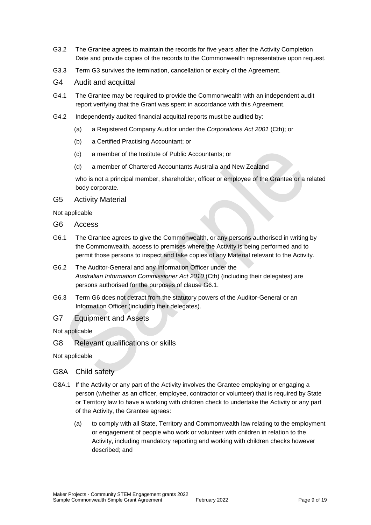- G3.2 The Grantee agrees to maintain the records for five years after the Activity Completion Date and provide copies of the records to the Commonwealth representative upon request.
- G3.3 Term G3 survives the termination, cancellation or expiry of the Agreement.
- G4 Audit and acquittal
- G4.1 The Grantee may be required to provide the Commonwealth with an independent audit report verifying that the Grant was spent in accordance with this Agreement.
- G4.2 Independently audited financial acquittal reports must be audited by:
	- (a) a Registered Company Auditor under the *Corporations Act 2001* (Cth); or
	- (b) a Certified Practising Accountant; or
	- (c) a member of the Institute of Public Accountants; or
	- (d) a member of Chartered Accountants Australia and New Zealand

who is not a principal member, shareholder, officer or employee of the Grantee or a related body corporate.

G5 Activity Material

Not applicable

- G6 Access
- G6.1 The Grantee agrees to give the Commonwealth, or any persons authorised in writing by the Commonwealth, access to premises where the Activity is being performed and to permit those persons to inspect and take copies of any Material relevant to the Activity.
- G6.2 The Auditor-General and any Information Officer under the *Australian Information Commissioner Act 2010* (Cth) (including their delegates) are persons authorised for the purposes of clause G6.1.
- G6.3 Term G6 does not detract from the statutory powers of the Auditor-General or an Information Officer (including their delegates).
- G7 Equipment and Assets

Not applicable

G8 Relevant qualifications or skills

Not applicable

#### G8A Child safety

- G8A.1 If the Activity or any part of the Activity involves the Grantee employing or engaging a person (whether as an officer, employee, contractor or volunteer) that is required by State or Territory law to have a working with children check to undertake the Activity or any part of the Activity, the Grantee agrees:
	- (a) to comply with all State, Territory and Commonwealth law relating to the employment or engagement of people who work or volunteer with children in relation to the Activity, including mandatory reporting and working with children checks however described; and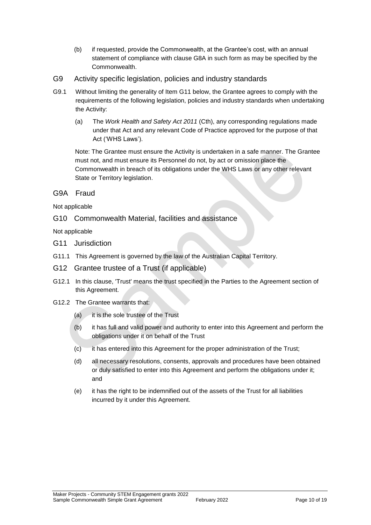- (b) if requested, provide the Commonwealth, at the Grantee's cost, with an annual statement of compliance with clause G8A in such form as may be specified by the Commonwealth.
- G9 Activity specific legislation, policies and industry standards
- G9.1 Without limiting the generality of Item G11 below, the Grantee agrees to comply with the requirements of the following legislation, policies and industry standards when undertaking the Activity:
	- (a) The *Work Health and Safety Act 2011* (Cth), any corresponding regulations made under that Act and any relevant Code of Practice approved for the purpose of that Act ('WHS Laws').

Note: The Grantee must ensure the Activity is undertaken in a safe manner. The Grantee must not, and must ensure its Personnel do not, by act or omission place the Commonwealth in breach of its obligations under the WHS Laws or any other relevant State or Territory legislation.

#### G9A Fraud

Not applicable

G10 Commonwealth Material, facilities and assistance

Not applicable

- G11 Jurisdiction
- G11.1 This Agreement is governed by the law of the Australian Capital Territory.
- G12 Grantee trustee of a Trust (if applicable)
- G12.1 In this clause, 'Trust' means the trust specified in the Parties to the Agreement section of this Agreement.
- G12.2 The Grantee warrants that:
	- (a) it is the sole trustee of the Trust
	- (b) it has full and valid power and authority to enter into this Agreement and perform the obligations under it on behalf of the Trust
	- (c) it has entered into this Agreement for the proper administration of the Trust;
	- (d) all necessary resolutions, consents, approvals and procedures have been obtained or duly satisfied to enter into this Agreement and perform the obligations under it; and
	- (e) it has the right to be indemnified out of the assets of the Trust for all liabilities incurred by it under this Agreement.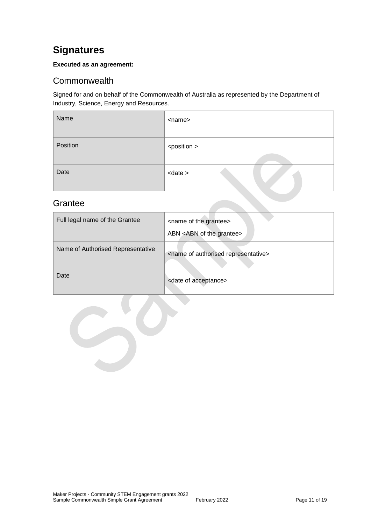# <span id="page-10-0"></span>**Signatures**

#### **Executed as an agreement:**

### <span id="page-10-1"></span>**Commonwealth**

Signed for and on behalf of the Commonwealth of Australia as represented by the Department of Industry, Science, Energy and Resources.

| Name     | <name></name>         |
|----------|-----------------------|
| Position | <position></position> |
| Date     | $\alpha$ date $>$     |

### <span id="page-10-2"></span>**Grantee**

| Full legal name of the Grantee    | <name grantee="" of="" the=""><br/>ABN <abn grantee="" of="" the=""></abn></name> |
|-----------------------------------|-----------------------------------------------------------------------------------|
| Name of Authorised Representative | <name authorised="" of="" representative=""></name>                               |
| Date                              | <date acceptance="" of=""></date>                                                 |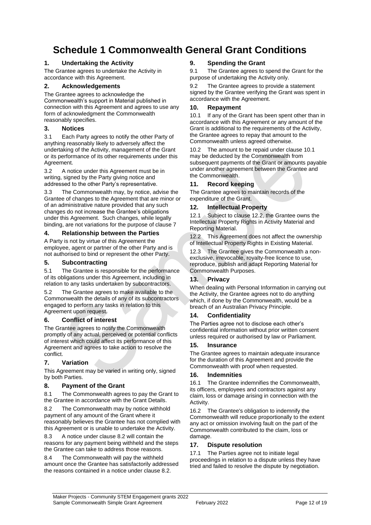# <span id="page-11-0"></span>**Schedule 1 Commonwealth General Grant Conditions**

#### **1. Undertaking the Activity**

The Grantee agrees to undertake the Activity in accordance with this Agreement.

#### **2. Acknowledgements**

The Grantee agrees to acknowledge the Commonwealth's support in Material published in connection with this Agreement and agrees to use any form of acknowledgment the Commonwealth reasonably specifies.

#### **3. Notices**

3.1 Each Party agrees to notify the other Party of anything reasonably likely to adversely affect the undertaking of the Activity, management of the Grant or its performance of its other requirements under this Agreement.

3.2 A notice under this Agreement must be in writing, signed by the Party giving notice and addressed to the other Party's representative.

3.3 The Commonwealth may, by notice, advise the Grantee of changes to the Agreement that are minor or of an administrative nature provided that any such changes do not increase the Grantee's obligations under this Agreement. Such changes, while legally binding, are not variations for the purpose of clause 7

#### **4. Relationship between the Parties**

A Party is not by virtue of this Agreement the employee, agent or partner of the other Party and is not authorised to bind or represent the other Party.

#### **5. Subcontracting**

5.1 The Grantee is responsible for the performance of its obligations under this Agreement, including in relation to any tasks undertaken by subcontractors.

5.2 The Grantee agrees to make available to the Commonwealth the details of any of its subcontractors engaged to perform any tasks in relation to this Agreement upon request.

#### **6. Conflict of interest**

The Grantee agrees to notify the Commonwealth promptly of any actual, perceived or potential conflicts of interest which could affect its performance of this Agreement and agrees to take action to resolve the conflict.

#### **7. Variation**

This Agreement may be varied in writing only, signed by both Parties.

#### **8. Payment of the Grant**

8.1 The Commonwealth agrees to pay the Grant to the Grantee in accordance with the Grant Details.

8.2 The Commonwealth may by notice withhold payment of any amount of the Grant where it reasonably believes the Grantee has not complied with this Agreement or is unable to undertake the Activity.

8.3 A notice under clause 8.2 will contain the reasons for any payment being withheld and the steps the Grantee can take to address those reasons.

8.4 The Commonwealth will pay the withheld amount once the Grantee has satisfactorily addressed the reasons contained in a notice under clause 8.2.

#### **9. Spending the Grant**

9.1 The Grantee agrees to spend the Grant for the purpose of undertaking the Activity only.

9.2 The Grantee agrees to provide a statement signed by the Grantee verifying the Grant was spent in accordance with the Agreement.

#### **10. Repayment**

10.1 If any of the Grant has been spent other than in accordance with this Agreement or any amount of the Grant is additional to the requirements of the Activity, the Grantee agrees to repay that amount to the Commonwealth unless agreed otherwise.

10.2 The amount to be repaid under clause 10.1 may be deducted by the Commonwealth from subsequent payments of the Grant or amounts payable under another agreement between the Grantee and the Commonwealth.

#### **11. Record keeping**

The Grantee agrees to maintain records of the expenditure of the Grant.

#### **12. Intellectual Property**

12.1 Subject to clause 12.2, the Grantee owns the Intellectual Property Rights in Activity Material and Reporting Material.

12.2 This Agreement does not affect the ownership of Intellectual Property Rights in Existing Material.

12.3 The Grantee gives the Commonwealth a nonexclusive, irrevocable, royalty-free licence to use, reproduce, publish and adapt Reporting Material for Commonwealth Purposes.

#### **13. Privacy**

When dealing with Personal Information in carrying out the Activity, the Grantee agrees not to do anything which, if done by the Commonwealth, would be a breach of an Australian Privacy Principle.

#### **14. Confidentiality**

The Parties agree not to disclose each other's confidential information without prior written consent unless required or authorised by law or Parliament.

#### **15. Insurance**

The Grantee agrees to maintain adequate insurance for the duration of this Agreement and provide the Commonwealth with proof when requested.

#### **16. Indemnities**

16.1 The Grantee indemnifies the Commonwealth, its officers, employees and contractors against any claim, loss or damage arising in connection with the Activity.

16.2 The Grantee's obligation to indemnify the Commonwealth will reduce proportionally to the extent any act or omission involving fault on the part of the Commonwealth contributed to the claim, loss or damage.

#### **17. Dispute resolution**

17.1 The Parties agree not to initiate legal proceedings in relation to a dispute unless they have tried and failed to resolve the dispute by negotiation.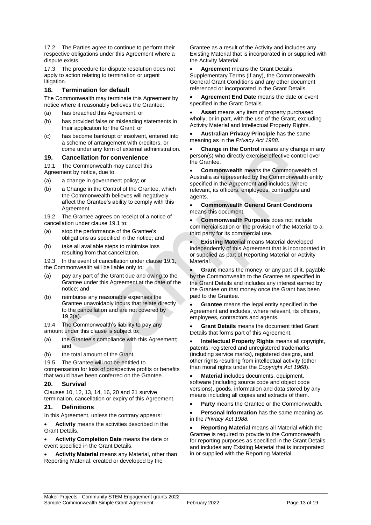17.2 The Parties agree to continue to perform their respective obligations under this Agreement where a dispute exists.

17.3 The procedure for dispute resolution does not apply to action relating to termination or urgent litigation.

#### **18. Termination for default**

The Commonwealth may terminate this Agreement by notice where it reasonably believes the Grantee:

- (a) has breached this Agreement; or
- (b) has provided false or misleading statements in their application for the Grant; or
- (c) has become bankrupt or insolvent, entered into a scheme of arrangement with creditors, or come under any form of external administration.

#### **19. Cancellation for convenience**

19.1 The Commonwealth may cancel this

Agreement by notice, due to

- (a) a change in government policy; or
- (b) a Change in the Control of the Grantee, which the Commonwealth believes will negatively affect the Grantee's ability to comply with this Agreement.

19.2 The Grantee agrees on receipt of a notice of cancellation under clause 19.1 to:

- (a) stop the performance of the Grantee's obligations as specified in the notice; and
- (b) take all available steps to minimise loss resulting from that cancellation.

19.3 In the event of cancellation under clause 19.1, the Commonwealth will be liable only to:

- (a) pay any part of the Grant due and owing to the Grantee under this Agreement at the date of the notice; and
- (b) reimburse any reasonable expenses the Grantee unavoidably incurs that relate directly to the cancellation and are not covered by 19.3(a).

19.4 The Commonwealth's liability to pay any amount under this clause is subject to:

- (a) the Grantee's compliance with this Agreement; and
- (b) the total amount of the Grant.

19.5 The Grantee will not be entitled to

compensation for loss of prospective profits or benefits that would have been conferred on the Grantee.

#### **20. Survival**

Clauses 10, 12, 13, 14, 16, 20 and 21 survive termination, cancellation or expiry of this Agreement.

#### **21. Definitions**

In this Agreement, unless the contrary appears:

 **Activity** means the activities described in the Grant Details.

- **Activity Completion Date** means the date or event specified in the Grant Details.
- <span id="page-12-0"></span> **Activity Material** means any Material, other than Reporting Material, created or developed by the

Grantee as a result of the Activity and includes any Existing Material that is incorporated in or supplied with the Activity Material.

 **Agreement** means the Grant Details, Supplementary Terms (if any), the Commonwealth General Grant Conditions and any other document referenced or incorporated in the Grant Details.

 **Agreement End Date** means the date or event specified in the Grant Details.

 **Asset** means any item of property purchased wholly, or in part, with the use of the Grant, excluding Activity Material and Intellectual Property Rights.

 **Australian Privacy Principle** has the same meaning as in the *Privacy Act 1988.*

 **Change in the Control** means any change in any person(s) who directly exercise effective control over the Grantee.

 **Commonwealth** means the Commonwealth of Australia as represented by the Commonwealth entity specified in the Agreement and includes, where relevant, its officers, employees, contractors and agents.

 **Commonwealth General Grant Conditions** means this document.

 **Commonwealth Purposes** does not include commercialisation or the provision of the Material to a third party for its commercial use.

 **Existing Material** means Material developed independently of this Agreement that is incorporated in or supplied as part of Reporting Material or Activity Material.

 **Grant** means the money, or any part of it, payable by the Commonwealth to the Grantee as specified in the Grant Details and includes any interest earned by the Grantee on that money once the Grant has been paid to the Grantee.

 **Grantee** means the legal entity specified in the Agreement and includes, where relevant, its officers, employees, contractors and agents.

 **Grant Details** means the document titled Grant Details that forms part of this Agreement.

 **Intellectual Property Rights** means all copyright, patents, registered and unregistered trademarks (including service marks), registered designs, and other rights resulting from intellectual activity (other than moral rights under the *Copyright Act 1968*).

 **Material** includes documents, equipment, software (including source code and object code versions), goods, information and data stored by any means including all copies and extracts of them.

**Party** means the Grantee or the Commonwealth.

 **Personal Information** has the same meaning as in the *Privacy Act 1988.*

 **Reporting Material** means all Material which the Grantee is required to provide to the Commonwealth for reporting purposes as specified in the Grant Details and includes any Existing Material that is incorporated in or supplied with the Reporting Material.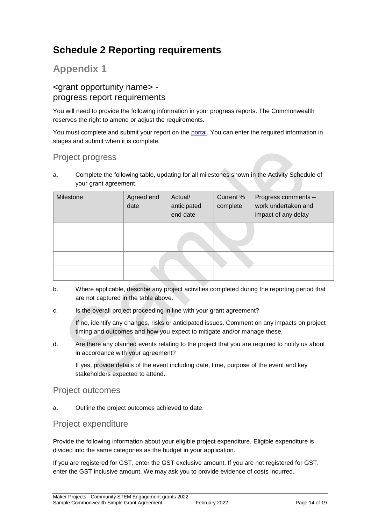# **Schedule 2 Reporting requirements**

## **Appendix 1**

### <grant opportunity name> progress report requirements

You will need to provide the following information in your progress reports. The Commonwealth reserves the right to amend or adjust the requirements.

You must complete and submit your report on the [portal.](https://portal.business.gov.au/) You can enter the required information in stages and submit when it is complete.

### Project progress

a. Complete the following table, updating for all milestones shown in the Activity Schedule of your grant agreement.

| Milestone | Agreed end<br>date | Actual/<br>anticipated<br>end date | Current %<br>complete | Progress comments -<br>work undertaken and<br>impact of any delay |
|-----------|--------------------|------------------------------------|-----------------------|-------------------------------------------------------------------|
|           |                    |                                    |                       |                                                                   |
|           |                    |                                    |                       |                                                                   |
|           |                    |                                    |                       |                                                                   |
|           |                    |                                    |                       |                                                                   |

- b. Where applicable, describe any project activities completed during the reporting period that are not captured in the table above.
- c. Is the overall project proceeding in line with your grant agreement?

If no, identify any changes, risks or anticipated issues. Comment on any impacts on project timing and outcomes and how you expect to mitigate and/or manage these.

d. Are there any planned events relating to the project that you are required to notify us about in accordance with your agreement?

If yes, provide details of the event including date, time, purpose of the event and key stakeholders expected to attend.

### Project outcomes

a. Outline the project outcomes achieved to date.

### Project expenditure

Provide the following information about your eligible project expenditure. Eligible expenditure is divided into the same categories as the budget in your application.

If you are registered for GST, enter the GST exclusive amount. If you are not registered for GST, enter the GST inclusive amount. We may ask you to provide evidence of costs incurred.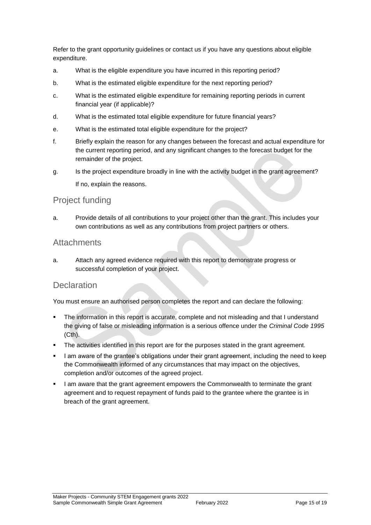Refer to the grant opportunity guidelines or contact us if you have any questions about eligible expenditure.

- a. What is the eligible expenditure you have incurred in this reporting period?
- b. What is the estimated eligible expenditure for the next reporting period?
- c. What is the estimated eligible expenditure for remaining reporting periods in current financial year (if applicable)?
- d. What is the estimated total eligible expenditure for future financial years?
- e. What is the estimated total eligible expenditure for the project?
- f. Briefly explain the reason for any changes between the forecast and actual expenditure for the current reporting period, and any significant changes to the forecast budget for the remainder of the project.
- g. Is the project expenditure broadly in line with the activity budget in the grant agreement? If no, explain the reasons.

### Project funding

a. Provide details of all contributions to your project other than the grant. This includes your own contributions as well as any contributions from project partners or others.

### **Attachments**

a. Attach any agreed evidence required with this report to demonstrate progress or successful completion of your project.

### **Declaration**

You must ensure an authorised person completes the report and can declare the following:

- The information in this report is accurate, complete and not misleading and that I understand the giving of false or misleading information is a serious offence under the *Criminal Code 1995* (Cth).
- The activities identified in this report are for the purposes stated in the grant agreement.
- I am aware of the grantee's obligations under their grant agreement, including the need to keep the Commonwealth informed of any circumstances that may impact on the objectives, completion and/or outcomes of the agreed project.
- I am aware that the grant agreement empowers the Commonwealth to terminate the grant agreement and to request repayment of funds paid to the grantee where the grantee is in breach of the grant agreement.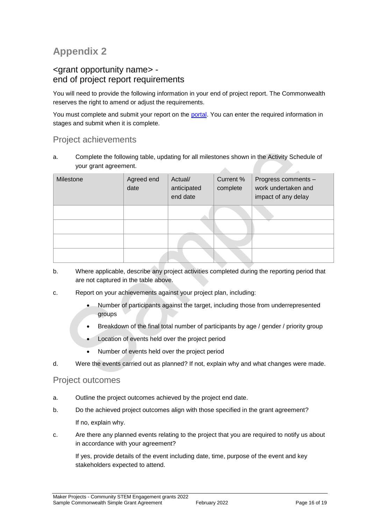# **Appendix 2**

### <grant opportunity name> end of project report requirements

You will need to provide the following information in your end of project report. The Commonwealth reserves the right to amend or adjust the requirements.

You must complete and submit your report on the [portal.](https://portal.business.gov.au/) You can enter the required information in stages and submit when it is complete.

### Project achievements

a. Complete the following table, updating for all milestones shown in the Activity Schedule of your grant agreement. A

| Milestone | Agreed end<br>date | Actual/<br>anticipated<br>end date | Current %<br>complete | Progress comments -<br>work undertaken and<br>impact of any delay |
|-----------|--------------------|------------------------------------|-----------------------|-------------------------------------------------------------------|
|           |                    |                                    |                       |                                                                   |
|           |                    |                                    |                       |                                                                   |
|           |                    |                                    |                       |                                                                   |
|           |                    |                                    |                       |                                                                   |

- b. Where applicable, describe any project activities completed during the reporting period that are not captured in the table above.
- c. Report on your achievements against your project plan, including:
	- Number of participants against the target, including those from underrepresented groups
	- Breakdown of the final total number of participants by age / gender / priority group
	- Location of events held over the project period
	- Number of events held over the project period
- d. Were the events carried out as planned? If not, explain why and what changes were made.

### Project outcomes

- a. Outline the project outcomes achieved by the project end date.
- b. Do the achieved project outcomes align with those specified in the grant agreement? If no, explain why.
- c. Are there any planned events relating to the project that you are required to notify us about in accordance with your agreement?

If yes, provide details of the event including date, time, purpose of the event and key stakeholders expected to attend.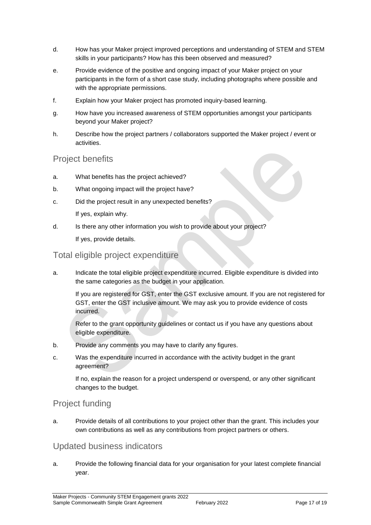- d. How has your Maker project improved perceptions and understanding of STEM and STEM skills in your participants? How has this been observed and measured?
- e. Provide evidence of the positive and ongoing impact of your Maker project on your participants in the form of a short case study, including photographs where possible and with the appropriate permissions.
- f. Explain how your Maker project has promoted inquiry-based learning.
- g. How have you increased awareness of STEM opportunities amongst your participants beyond your Maker project?
- h. Describe how the project partners / collaborators supported the Maker project / event or activities.

### Project benefits

- a. What benefits has the project achieved?
- b. What ongoing impact will the project have?
- c. Did the project result in any unexpected benefits?

If yes, explain why.

d. Is there any other information you wish to provide about your project?

If yes, provide details.

### Total eligible project expenditure

a. Indicate the total eligible project expenditure incurred. Eligible expenditure is divided into the same categories as the budget in your application.

If you are registered for GST, enter the GST exclusive amount. If you are not registered for GST, enter the GST inclusive amount. We may ask you to provide evidence of costs incurred.

Refer to the grant opportunity guidelines or contact us if you have any questions about eligible expenditure.

- b. Provide any comments you may have to clarify any figures.
- c. Was the expenditure incurred in accordance with the activity budget in the grant agreement?

If no, explain the reason for a project underspend or overspend, or any other significant changes to the budget.

### Project funding

a. Provide details of all contributions to your project other than the grant. This includes your own contributions as well as any contributions from project partners or others.

### Updated business indicators

a. Provide the following financial data for your organisation for your latest complete financial year.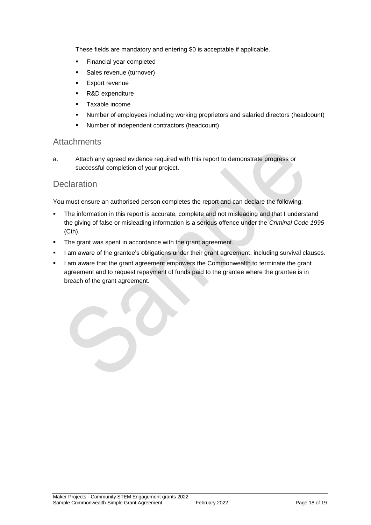These fields are mandatory and entering \$0 is acceptable if applicable.

- **Financial year completed**
- **Sales revenue (turnover)**
- **Export revenue**
- R&D expenditure
- **Taxable income**
- Number of employees including working proprietors and salaried directors (headcount)
- Number of independent contractors (headcount)

#### **Attachments**

a. Attach any agreed evidence required with this report to demonstrate progress or successful completion of your project.

### **Declaration**

You must ensure an authorised person completes the report and can declare the following:

- The information in this report is accurate, complete and not misleading and that I understand the giving of false or misleading information is a serious offence under the *Criminal Code 1995* (Cth).
- The grant was spent in accordance with the grant agreement.
- I am aware of the grantee's obligations under their grant agreement, including survival clauses.
- I am aware that the grant agreement empowers the Commonwealth to terminate the grant agreement and to request repayment of funds paid to the grantee where the grantee is in breach of the grant agreement.